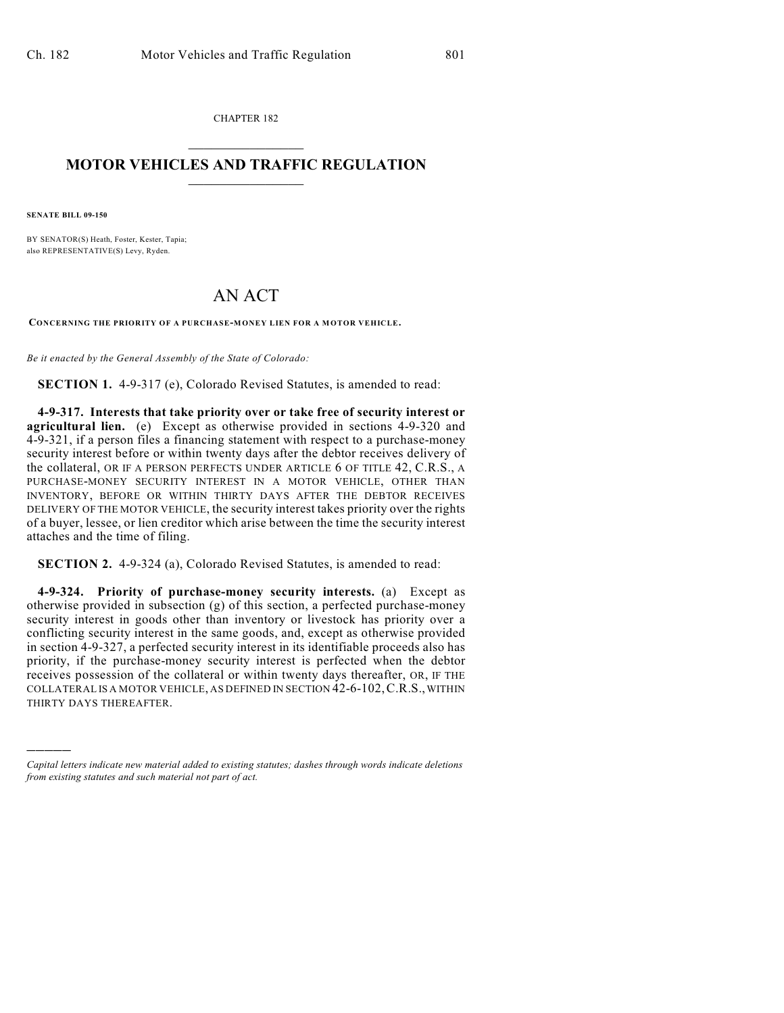CHAPTER 182  $\overline{\phantom{a}}$  . The set of the set of the set of the set of the set of the set of the set of the set of the set of the set of the set of the set of the set of the set of the set of the set of the set of the set of the set o

## **MOTOR VEHICLES AND TRAFFIC REGULATION**  $\frac{1}{2}$  ,  $\frac{1}{2}$  ,  $\frac{1}{2}$  ,  $\frac{1}{2}$  ,  $\frac{1}{2}$  ,  $\frac{1}{2}$  ,  $\frac{1}{2}$  ,  $\frac{1}{2}$

**SENATE BILL 09-150**

)))))

BY SENATOR(S) Heath, Foster, Kester, Tapia; also REPRESENTATIVE(S) Levy, Ryden.

## AN ACT

**CONCERNING THE PRIORITY OF A PURCHASE-MONEY LIEN FOR A MOTOR VEHICLE.**

*Be it enacted by the General Assembly of the State of Colorado:*

**SECTION 1.** 4-9-317 (e), Colorado Revised Statutes, is amended to read:

**4-9-317. Interests that take priority over or take free of security interest or agricultural lien.** (e) Except as otherwise provided in sections 4-9-320 and 4-9-321, if a person files a financing statement with respect to a purchase-money security interest before or within twenty days after the debtor receives delivery of the collateral, OR IF A PERSON PERFECTS UNDER ARTICLE 6 OF TITLE 42, C.R.S., A PURCHASE-MONEY SECURITY INTEREST IN A MOTOR VEHICLE, OTHER THAN INVENTORY, BEFORE OR WITHIN THIRTY DAYS AFTER THE DEBTOR RECEIVES DELIVERY OF THE MOTOR VEHICLE, the security interest takes priority over the rights of a buyer, lessee, or lien creditor which arise between the time the security interest attaches and the time of filing.

**SECTION 2.** 4-9-324 (a), Colorado Revised Statutes, is amended to read:

**4-9-324. Priority of purchase-money security interests.** (a) Except as otherwise provided in subsection (g) of this section, a perfected purchase-money security interest in goods other than inventory or livestock has priority over a conflicting security interest in the same goods, and, except as otherwise provided in section 4-9-327, a perfected security interest in its identifiable proceeds also has priority, if the purchase-money security interest is perfected when the debtor receives possession of the collateral or within twenty days thereafter, OR, IF THE COLLATERAL IS A MOTOR VEHICLE, AS DEFINED IN SECTION 42-6-102,C.R.S., WITHIN THIRTY DAYS THEREAFTER.

*Capital letters indicate new material added to existing statutes; dashes through words indicate deletions from existing statutes and such material not part of act.*